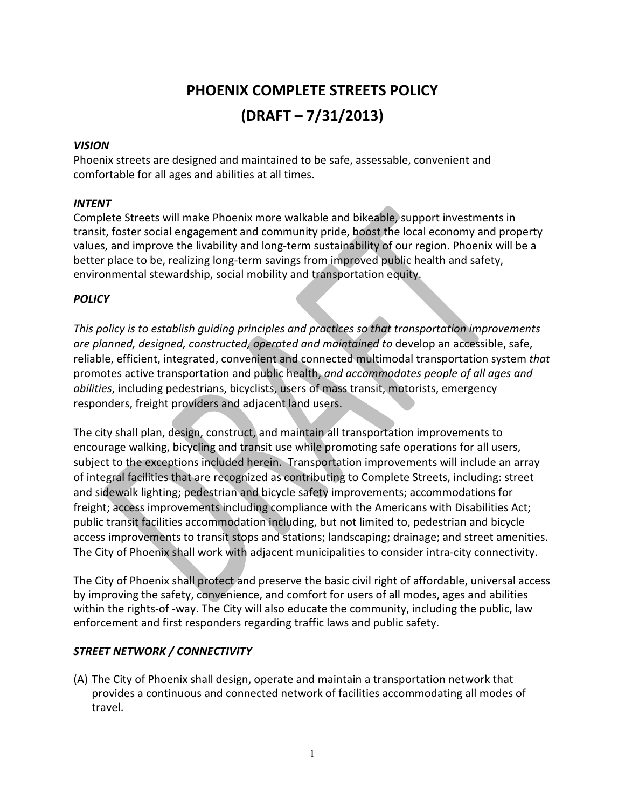# PHOENIX COMPLETE STREETS POLICY (DRAFT – 7/31/2013)

#### VISION

Phoenix streets are designed and maintained to be safe, assessable, convenient and comfortable for all ages and abilities at all times.

### INTENT

Complete Streets will make Phoenix more walkable and bikeable, support investments in transit, foster social engagement and community pride, boost the local economy and property values, and improve the livability and long-term sustainability of our region. Phoenix will be a better place to be, realizing long-term savings from improved public health and safety, environmental stewardship, social mobility and transportation equity.

# **POLICY**

This policy is to establish guiding principles and practices so that transportation improvements are planned, designed, constructed, operated and maintained to develop an accessible, safe, reliable, efficient, integrated, convenient and connected multimodal transportation system that promotes active transportation and public health, and accommodates people of all ages and abilities, including pedestrians, bicyclists, users of mass transit, motorists, emergency responders, freight providers and adjacent land users.

The city shall plan, design, construct, and maintain all transportation improvements to encourage walking, bicycling and transit use while promoting safe operations for all users, subject to the exceptions included herein. Transportation improvements will include an array of integral facilities that are recognized as contributing to Complete Streets, including: street and sidewalk lighting; pedestrian and bicycle safety improvements; accommodations for freight; access improvements including compliance with the Americans with Disabilities Act; public transit facilities accommodation including, but not limited to, pedestrian and bicycle access improvements to transit stops and stations; landscaping; drainage; and street amenities. The City of Phoenix shall work with adjacent municipalities to consider intra-city connectivity.

The City of Phoenix shall protect and preserve the basic civil right of affordable, universal access by improving the safety, convenience, and comfort for users of all modes, ages and abilities within the rights-of -way. The City will also educate the community, including the public, law enforcement and first responders regarding traffic laws and public safety.

# STREET NETWORK / CONNECTIVITY

(A) The City of Phoenix shall design, operate and maintain a transportation network that provides a continuous and connected network of facilities accommodating all modes of travel.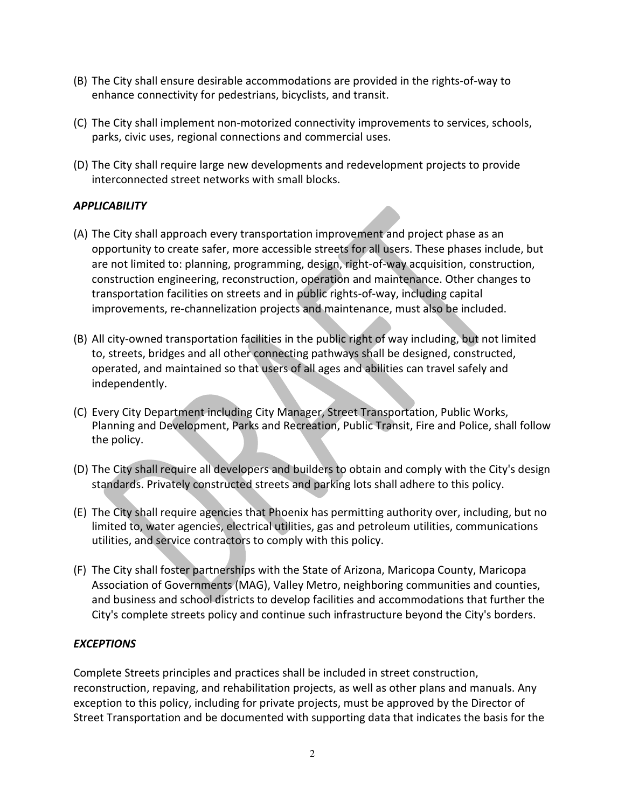- (B) The City shall ensure desirable accommodations are provided in the rights-of-way to enhance connectivity for pedestrians, bicyclists, and transit.
- (C) The City shall implement non-motorized connectivity improvements to services, schools, parks, civic uses, regional connections and commercial uses.
- (D) The City shall require large new developments and redevelopment projects to provide interconnected street networks with small blocks.

# **APPLICABILITY**

- (A) The City shall approach every transportation improvement and project phase as an opportunity to create safer, more accessible streets for all users. These phases include, but are not limited to: planning, programming, design, right-of-way acquisition, construction, construction engineering, reconstruction, operation and maintenance. Other changes to transportation facilities on streets and in public rights-of-way, including capital improvements, re-channelization projects and maintenance, must also be included.
- (B) All city-owned transportation facilities in the public right of way including, but not limited to, streets, bridges and all other connecting pathways shall be designed, constructed, operated, and maintained so that users of all ages and abilities can travel safely and independently.
- (C) Every City Department including City Manager, Street Transportation, Public Works, Planning and Development, Parks and Recreation, Public Transit, Fire and Police, shall follow the policy.
- (D) The City shall require all developers and builders to obtain and comply with the City's design standards. Privately constructed streets and parking lots shall adhere to this policy.
- (E) The City shall require agencies that Phoenix has permitting authority over, including, but no limited to, water agencies, electrical utilities, gas and petroleum utilities, communications utilities, and service contractors to comply with this policy.
- (F) The City shall foster partnerships with the State of Arizona, Maricopa County, Maricopa Association of Governments (MAG), Valley Metro, neighboring communities and counties, and business and school districts to develop facilities and accommodations that further the City's complete streets policy and continue such infrastructure beyond the City's borders.

#### **EXCEPTIONS**

Complete Streets principles and practices shall be included in street construction, reconstruction, repaving, and rehabilitation projects, as well as other plans and manuals. Any exception to this policy, including for private projects, must be approved by the Director of Street Transportation and be documented with supporting data that indicates the basis for the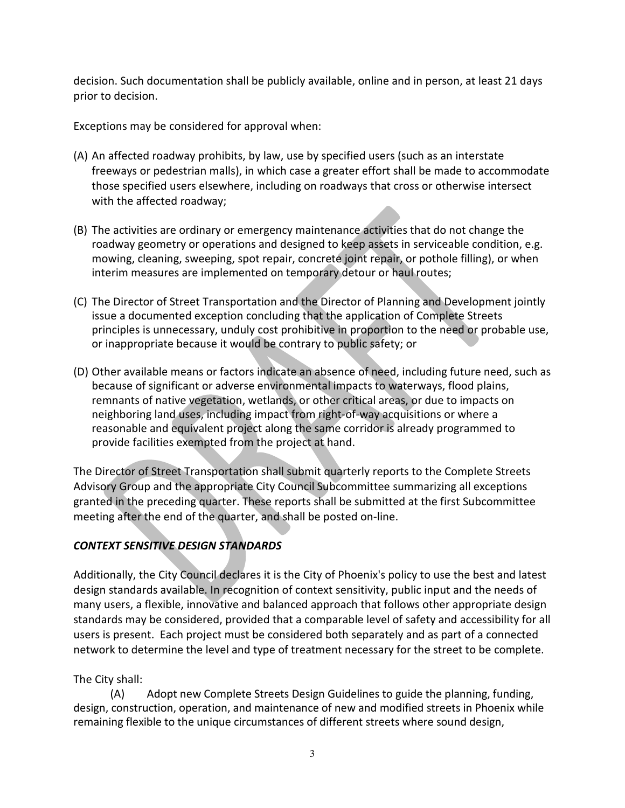decision. Such documentation shall be publicly available, online and in person, at least 21 days prior to decision.

Exceptions may be considered for approval when:

- (A) An affected roadway prohibits, by law, use by specified users (such as an interstate freeways or pedestrian malls), in which case a greater effort shall be made to accommodate those specified users elsewhere, including on roadways that cross or otherwise intersect with the affected roadway;
- (B) The activities are ordinary or emergency maintenance activities that do not change the roadway geometry or operations and designed to keep assets in serviceable condition, e.g. mowing, cleaning, sweeping, spot repair, concrete joint repair, or pothole filling), or when interim measures are implemented on temporary detour or haul routes;
- (C) The Director of Street Transportation and the Director of Planning and Development jointly issue a documented exception concluding that the application of Complete Streets principles is unnecessary, unduly cost prohibitive in proportion to the need or probable use, or inappropriate because it would be contrary to public safety; or
- (D) Other available means or factors indicate an absence of need, including future need, such as because of significant or adverse environmental impacts to waterways, flood plains, remnants of native vegetation, wetlands, or other critical areas, or due to impacts on neighboring land uses, including impact from right-of-way acquisitions or where a reasonable and equivalent project along the same corridor is already programmed to provide facilities exempted from the project at hand.

The Director of Street Transportation shall submit quarterly reports to the Complete Streets Advisory Group and the appropriate City Council Subcommittee summarizing all exceptions granted in the preceding quarter. These reports shall be submitted at the first Subcommittee meeting after the end of the quarter, and shall be posted on-line.

# CONTEXT SENSITIVE DESIGN STANDARDS

Additionally, the City Council declares it is the City of Phoenix's policy to use the best and latest design standards available. In recognition of context sensitivity, public input and the needs of many users, a flexible, innovative and balanced approach that follows other appropriate design standards may be considered, provided that a comparable level of safety and accessibility for all users is present. Each project must be considered both separately and as part of a connected network to determine the level and type of treatment necessary for the street to be complete.

# The City shall:

(A) Adopt new Complete Streets Design Guidelines to guide the planning, funding, design, construction, operation, and maintenance of new and modified streets in Phoenix while remaining flexible to the unique circumstances of different streets where sound design,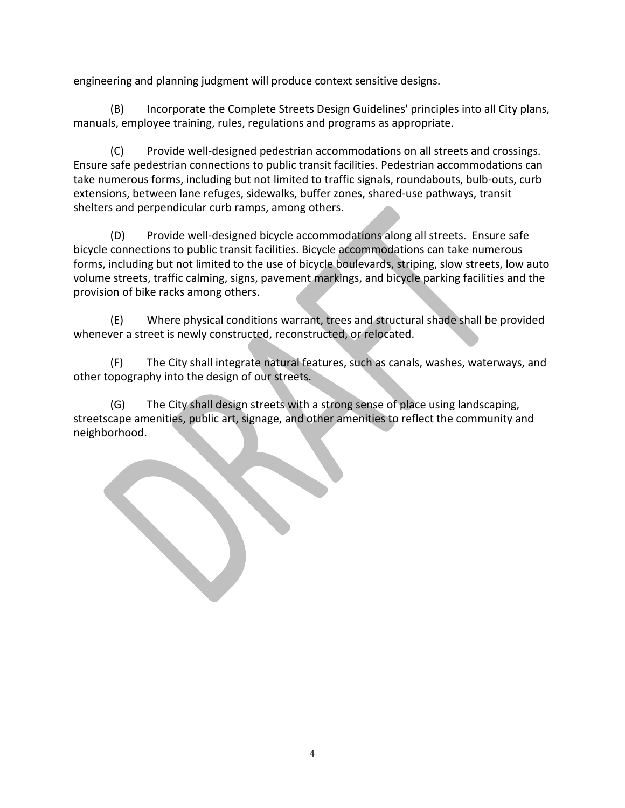engineering and planning judgment will produce context sensitive designs.

(B) Incorporate the Complete Streets Design Guidelines' principles into all City plans, manuals, employee training, rules, regulations and programs as appropriate.

(C) Provide well-designed pedestrian accommodations on all streets and crossings. Ensure safe pedestrian connections to public transit facilities. Pedestrian accommodations can take numerous forms, including but not limited to traffic signals, roundabouts, bulb-outs, curb extensions, between lane refuges, sidewalks, buffer zones, shared-use pathways, transit shelters and perpendicular curb ramps, among others.

(D) Provide well-designed bicycle accommodations along all streets. Ensure safe bicycle connections to public transit facilities. Bicycle accommodations can take numerous forms, including but not limited to the use of bicycle boulevards, striping, slow streets, low auto volume streets, traffic calming, signs, pavement markings, and bicycle parking facilities and the provision of bike racks among others.

(E) Where physical conditions warrant, trees and structural shade shall be provided whenever a street is newly constructed, reconstructed, or relocated.

(F) The City shall integrate natural features, such as canals, washes, waterways, and other topography into the design of our streets.

(G) The City shall design streets with a strong sense of place using landscaping, streetscape amenities, public art, signage, and other amenities to reflect the community and neighborhood.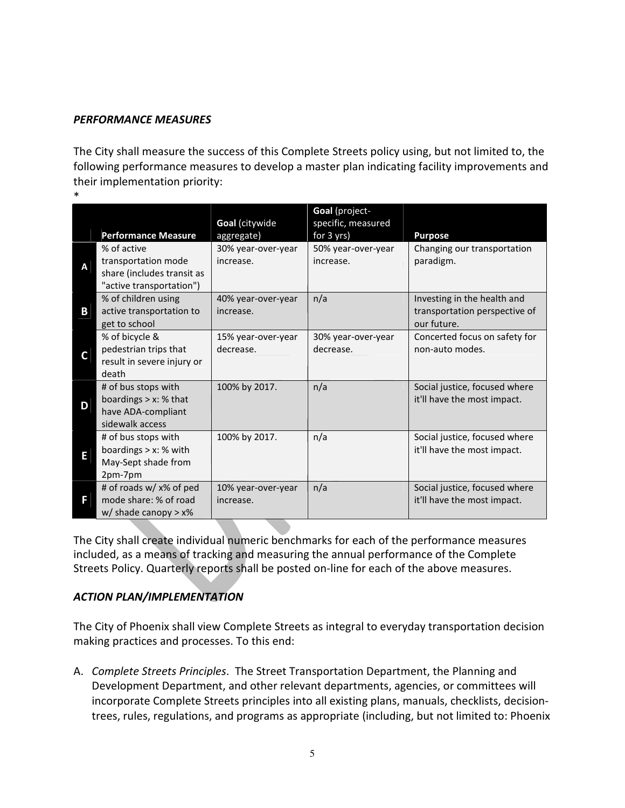#### PERFORMANCE MEASURES

The City shall measure the success of this Complete Streets policy using, but not limited to, the following performance measures to develop a master plan indicating facility improvements and their implementation priority:

\*

|    |                                                                                              |                                 | Goal (project-                   |                                                                             |
|----|----------------------------------------------------------------------------------------------|---------------------------------|----------------------------------|-----------------------------------------------------------------------------|
|    | <b>Performance Measure</b>                                                                   | Goal (citywide<br>aggregate)    | specific, measured<br>for 3 yrs) | <b>Purpose</b>                                                              |
| A  | % of active<br>transportation mode<br>share (includes transit as<br>"active transportation") | 30% year-over-year<br>increase. | 50% year-over-year<br>increase.  | Changing our transportation<br>paradigm.                                    |
| Β  | % of children using<br>active transportation to<br>get to school                             | 40% year-over-year<br>increase. | n/a                              | Investing in the health and<br>transportation perspective of<br>our future. |
| C. | % of bicycle &<br>pedestrian trips that<br>result in severe injury or<br>death               | 15% year-over-year<br>decrease. | 30% year-over-year<br>decrease.  | Concerted focus on safety for<br>non-auto modes.                            |
| D  | # of bus stops with<br>boardings $> x$ : % that<br>have ADA-compliant<br>sidewalk access     | 100% by 2017.                   | n/a                              | Social justice, focused where<br>it'll have the most impact.                |
| E  | # of bus stops with<br>boardings $> x$ : % with<br>May-Sept shade from<br>2pm-7pm            | 100% by 2017.                   | n/a                              | Social justice, focused where<br>it'll have the most impact.                |
| F  | # of roads w/ x% of ped<br>mode share: % of road<br>$w/$ shade canopy > $x%$                 | 10% year-over-year<br>increase. | n/a                              | Social justice, focused where<br>it'll have the most impact.                |

The City shall create individual numeric benchmarks for each of the performance measures included, as a means of tracking and measuring the annual performance of the Complete Streets Policy. Quarterly reports shall be posted on-line for each of the above measures.

#### ACTION PLAN/IMPLEMENTATION

The City of Phoenix shall view Complete Streets as integral to everyday transportation decision making practices and processes. To this end:

A. Complete Streets Principles. The Street Transportation Department, the Planning and Development Department, and other relevant departments, agencies, or committees will incorporate Complete Streets principles into all existing plans, manuals, checklists, decisiontrees, rules, regulations, and programs as appropriate (including, but not limited to: Phoenix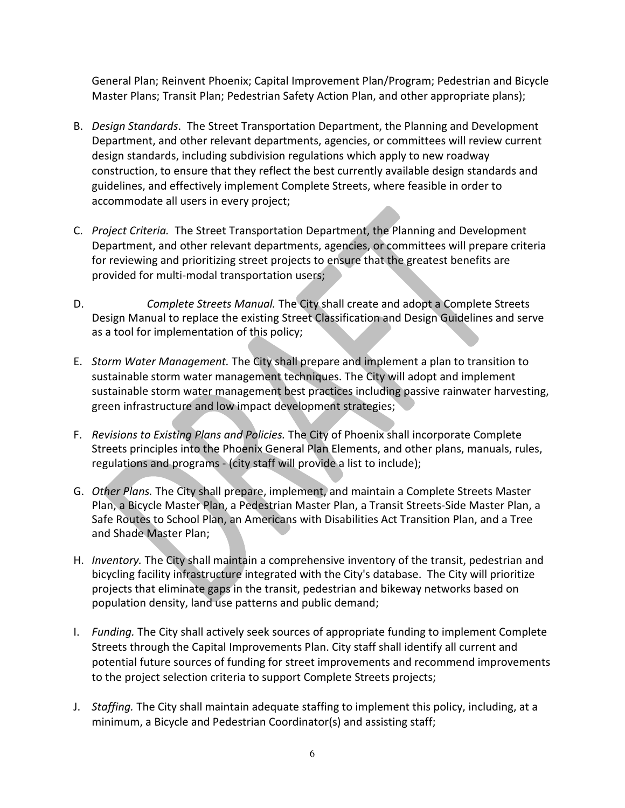General Plan; Reinvent Phoenix; Capital Improvement Plan/Program; Pedestrian and Bicycle Master Plans; Transit Plan; Pedestrian Safety Action Plan, and other appropriate plans);

- B. Design Standards. The Street Transportation Department, the Planning and Development Department, and other relevant departments, agencies, or committees will review current design standards, including subdivision regulations which apply to new roadway construction, to ensure that they reflect the best currently available design standards and guidelines, and effectively implement Complete Streets, where feasible in order to accommodate all users in every project;
- C. Project Criteria. The Street Transportation Department, the Planning and Development Department, and other relevant departments, agencies, or committees will prepare criteria for reviewing and prioritizing street projects to ensure that the greatest benefits are provided for multi-modal transportation users;
- D. Complete Streets Manual. The City shall create and adopt a Complete Streets Design Manual to replace the existing Street Classification and Design Guidelines and serve as a tool for implementation of this policy;
- E. Storm Water Management. The City shall prepare and implement a plan to transition to sustainable storm water management techniques. The City will adopt and implement sustainable storm water management best practices including passive rainwater harvesting, green infrastructure and low impact development strategies;
- F. Revisions to Existing Plans and Policies. The City of Phoenix shall incorporate Complete Streets principles into the Phoenix General Plan Elements, and other plans, manuals, rules, regulations and programs - (city staff will provide a list to include);
- G. Other Plans. The City shall prepare, implement, and maintain a Complete Streets Master Plan, a Bicycle Master Plan, a Pedestrian Master Plan, a Transit Streets-Side Master Plan, a Safe Routes to School Plan, an Americans with Disabilities Act Transition Plan, and a Tree and Shade Master Plan;
- H. Inventory. The City shall maintain a comprehensive inventory of the transit, pedestrian and bicycling facility infrastructure integrated with the City's database. The City will prioritize projects that eliminate gaps in the transit, pedestrian and bikeway networks based on population density, land use patterns and public demand;
- I. Funding. The City shall actively seek sources of appropriate funding to implement Complete Streets through the Capital Improvements Plan. City staff shall identify all current and potential future sources of funding for street improvements and recommend improvements to the project selection criteria to support Complete Streets projects;
- J. Staffing. The City shall maintain adequate staffing to implement this policy, including, at a minimum, a Bicycle and Pedestrian Coordinator(s) and assisting staff;